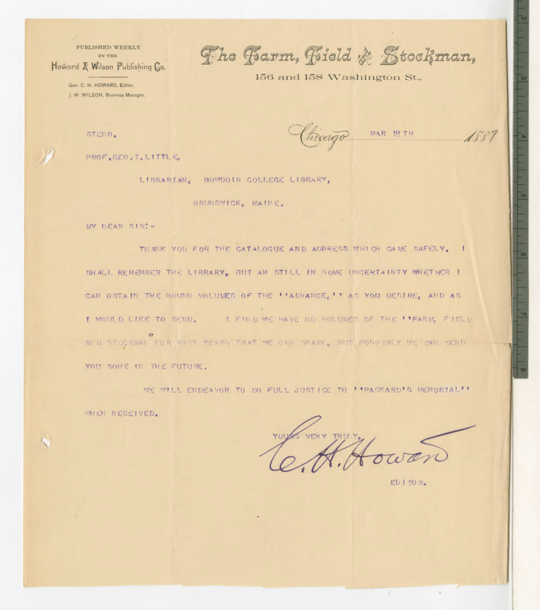PUBLISHED WEEKLY BY THE Howard X Wilson Publishing Go. Gen. C. H. HOWARD, Editor. J. W. WILSON, Business Manager.

The Jarm, Jield & Stockman,

156 and 158 Washington St.,

STENO.

 $\sim$ 

PROF.GEO.T.LITTLE.

hisago MAR 18 TH

LIBRARIAN, BOWDOIN COLLEGE LIBRARY,

BRUNSWICK, MAINE.

MY DEAR SIRI-

THANK YOU FOR THE CATALOGUE AND ADDRESS WHICH CAME SAFELY. I SHALL REMEMBER THE LIBRARY, BUT AM STILL IN SOME UNCERTAINTY WHETHER I CAN OBTAIN THE BOUND VOLUMES OF THE ''ADVANCE,'' AS YOU DESIRE, AND AS I WOULD LIKE TO SEND. I FIND WE HAVE NO VOLUMES OF THE INFARM, FIELD AND STOCKMAN FOR PAST YEARS THAT WE CAN SPARE, BUT POSSIBLY WE CAN SEND. YOU SOME IN THE FUTURE.

WE WILL ENDEAVOR TO DO FULL JUSTICE TO I "PACKARD'S MEMORIAL!" **MIEN RECEIVED.** 

ED I TO R.

x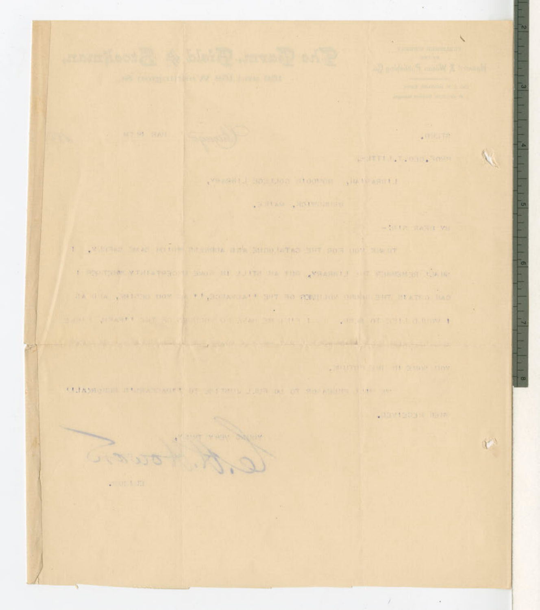and the company of the company of the company of the company of the company of the company of the company of the company of the company of the company of the company of the company of the company of the company of the comp

 $\tilde{\mathcal{L}}$ 

**TOOLITAR** 

nestri the figurant store

, Vasant Lan Ling Studies , Wilson P

graduate gamentalistic

 $-5.12$  RANT VI

I A STORE THAT IN CIT AT LINE OF A HIGH SHOULD THE SHOULD SEE THE STORE IN THE I STOTTEN VILLENHOTT SENT IN JUSTIN HE THE WEATHER OF CHAIRMON CALLE The disc generation more on a figure account them no segments couchs then reaction flat a mi a present tissim no cambiano o travani su pittoriti. Il compa ornanti o universi and the second contribution of the same season of the second second second second second second second second **CONTRACTOR** IN THE STAND TIME

CLINDSONNE BLETARFACE OF SUPPORTS LIBRARY OF SEARCHING JERRY OF

**ATOMESOBN IN: PR** 

 $\ell$ 

 $\rightarrow$ 

**COM** 

WHITE WAIN DOUGH

Otti Fours

**I RET RATE SEARS** 

ar unit m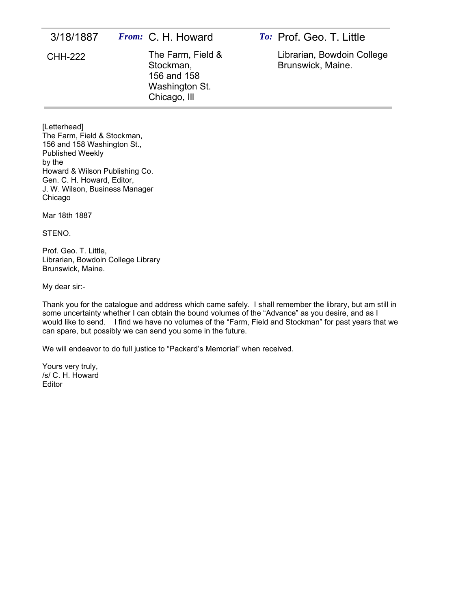| 3/18/1887      | <i>From:</i> C. H. Howard                                                       | To: Prof. Geo. T. Little                        |
|----------------|---------------------------------------------------------------------------------|-------------------------------------------------|
| <b>CHH-222</b> | The Farm, Field &<br>Stockman,<br>156 and 158<br>Washington St.<br>Chicago, III | Librarian, Bowdoin College<br>Brunswick, Maine. |

[Letterhead]

The Farm, Field & Stockman, 156 and 158 Washington St., Published Weekly by the Howard & Wilson Publishing Co. Gen. C. H. Howard, Editor, J. W. Wilson, Business Manager Chicago

Mar 18th 1887

STENO.

Prof. Geo. T. Little, Librarian, Bowdoin College Library Brunswick, Maine.

My dear sir:-

Thank you for the catalogue and address which came safely. I shall remember the library, but am still in some uncertainty whether I can obtain the bound volumes of the "Advance" as you desire, and as I would like to send. I find we have no volumes of the "Farm, Field and Stockman" for past years that we can spare, but possibly we can send you some in the future.

We will endeavor to do full justice to "Packard's Memorial" when received.

Yours very truly, /s/ C. H. Howard **Editor**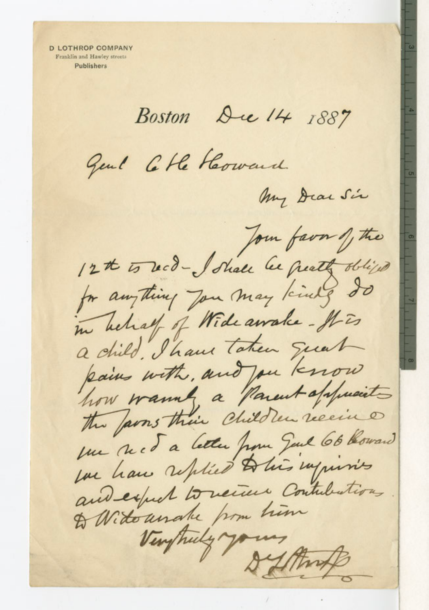**D LOTHROP COMPANY** Franklin and Hawley streets Publishers

Boston Die 14 1887

Gent Cotle Howard

My Dear Sir form favor of the

12th 5 recd- I shall be greath obliged for anything you may kindle 20 in behalf of Wide awake - His a child. I have taken gunt pains with, and you know how want, a Parent of fusits the farms their Children receive un ned a letter from Jul 66 howard we have replied to his inpirios and expect to neither Contribution A Wido unake from him Verytruly yours Sythmap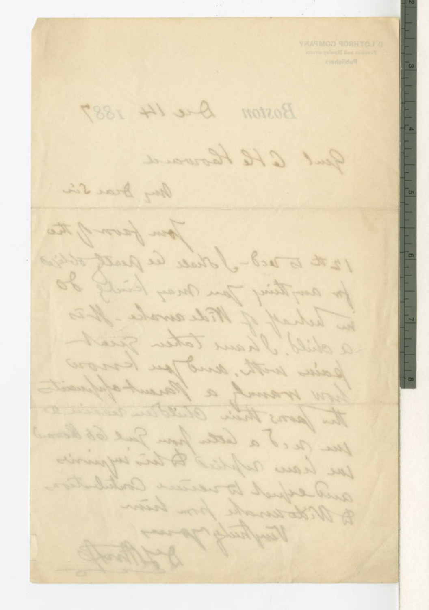Boston De 14 1887

Quel CH Horvand

May Dear Sin

four favor of the 12th to Ded- I dick be put diliged for anything you may king do

w behalf to Williamshe. His a diel, Iham taken girach

un not a letter from Jul 66 love.

willing

pain with, and you know how wanned a Playent shelmain this fames their Oteller val

we have replied to this informing and expect to receive Contabution & Wito unake from him

Venethedy Ma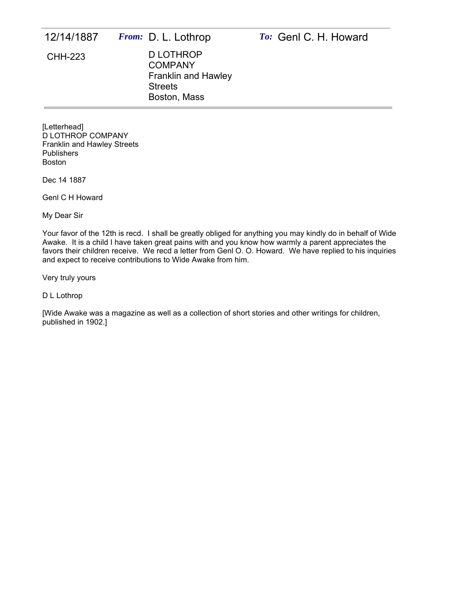| 12/14/1887 | <i>From:</i> D. L. Lothrop                                                                  | To: Genl C. H. Howard |
|------------|---------------------------------------------------------------------------------------------|-----------------------|
| CHH-223    | D LOTHROP<br><b>COMPANY</b><br><b>Franklin and Hawley</b><br><b>Streets</b><br>Boston, Mass |                       |

[Letterhead] D LOTHROP COMPANY Franklin and Hawley Streets **Publishers** Boston

Dec 14 1887

Genl C H Howard

My Dear Sir

Your favor of the 12th is recd. I shall be greatly obliged for anything you may kindly do in behalf of Wide Awake. It is a child I have taken great pains with and you know how warmly a parent appreciates the favors their children receive. We recd a letter from Genl O. O. Howard. We have replied to his inquiries and expect to receive contributions to Wide Awake from him.

Very truly yours

D L Lothrop

[Wide Awake was a magazine as well as a collection of short stories and other writings for children, published in 1902.]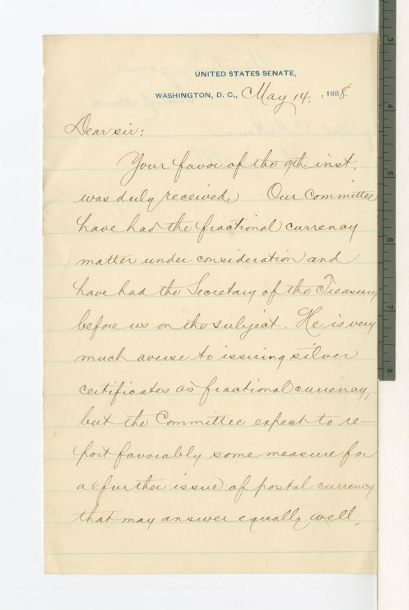## **UNITED STATES SENATE,**

WASHINGTON, D.C.,  $U\left(\frac{a_{11}}{a_{11}}, \frac{1885}{a_{11}}\right)$ 

Dear sir:

your favor of the get inst.

was duly received Our Committee

have had the fractional currency

matter under consideration and have had the Secretary of the Jeanny

before us on the subject. He is very

much averse to issuing silver

certificates as fractional canenay,

but the Committee expect to re-

port favorably some measure for alfurther issue of postal currency

that may answer equally well,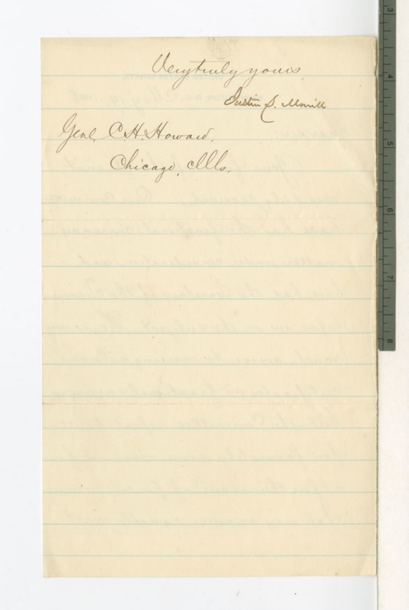Verytuly yours Gene CM Moward.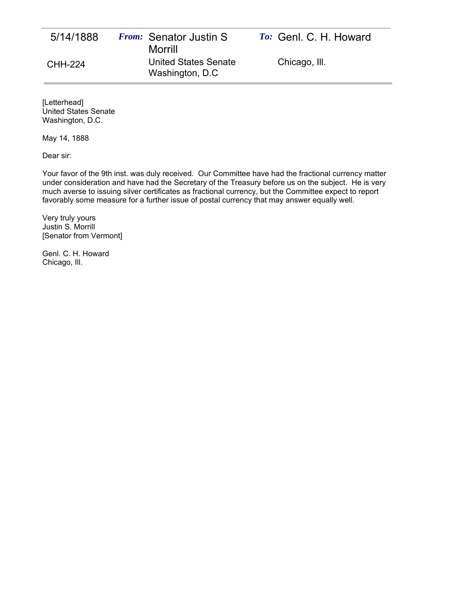[Letterhead] United States Senate Washington, D.C.

May 14, 1888

Dear sir:

Your favor of the 9th inst. was duly received. Our Committee have had the fractional currency matter under consideration and have had the Secretary of the Treasury before us on the subject. He is very much averse to issuing silver certificates as fractional currency, but the Committee expect to report favorably some measure for a further issue of postal currency that may answer equally well.

Very truly yours Justin S. Morrill [Senator from Vermont]

Genl. C. H. Howard Chicago, Ill.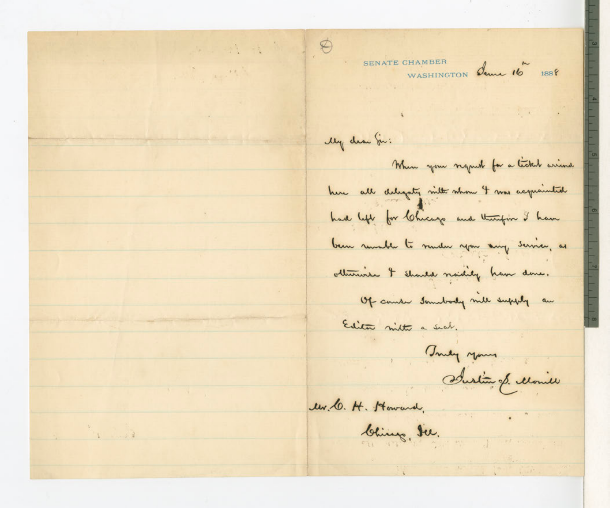**SENATE CHAMBER** WASHINGTON Same 16 1888

My dear fü: When your right for a ticket ariund here all deligaty with whom I was acquainted had left for Chicago and therefore I have been small to sender you any service, as otherwise I should naidily have done. Of cander Sunbody mill supply an Editor milto a such.

Inly your Sustin S. Monier

en 6. H. Howard.

一、 一个 一个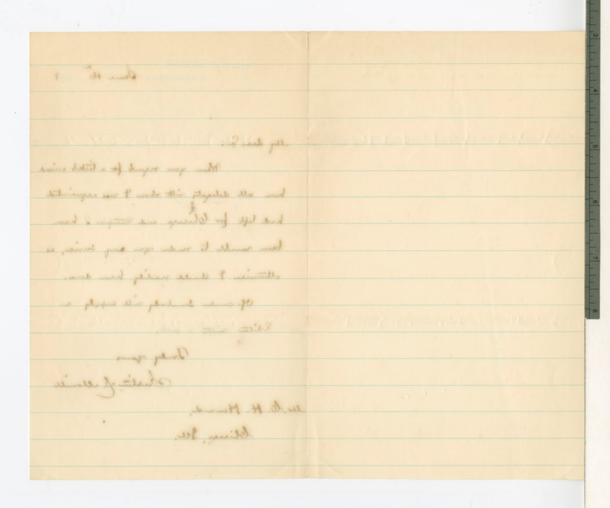of the summer of the 197 the first fine of said per-When you organis for a titled wines this impact case I wanter this played the deal but left for lettery we compre a bare been remark to reader you and device, as the med place we to I minute is physical divisipational interest for  $\frac{1}{2} \left( \frac{1}{2} \right)^2 \left( \frac{1}{2} \right)^2 \left( \frac{1}{2} \right)^2$ my peup in spatial Mr. C. H. Hamandy Clina, Su.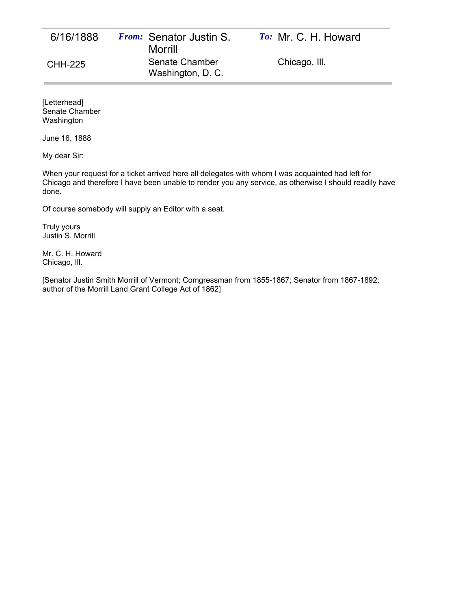| 6/16/1888      | <i>From:</i> Senator Justin S.<br>Morrill | To: Mr. C. H. Howard |
|----------------|-------------------------------------------|----------------------|
| <b>CHH-225</b> | Senate Chamber<br>Washington, D. C.       | Chicago, III.        |

[Letterhead] Senate Chamber Washington

June 16, 1888

My dear Sir:

When your request for a ticket arrived here all delegates with whom I was acquainted had left for Chicago and therefore I have been unable to render you any service, as otherwise I should readily have done.

Of course somebody will supply an Editor with a seat.

Truly yours Justin S. Morrill

Mr. C. H. Howard Chicago, Ill.

[Senator Justin Smith Morrill of Vermont; Comgressman from 1855-1867; Senator from 1867-1892; author of the Morrill Land Grant College Act of 1862]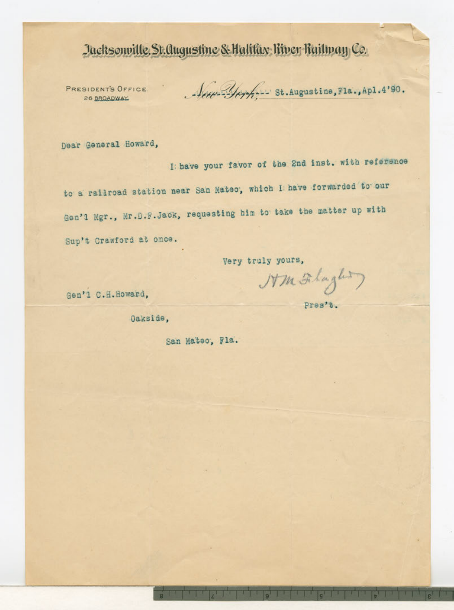## Jacksonville, St. Augustine & Halifax River Railway Co.

PRESIDENT'S OFFICE 26 BROADWAY

 $\frac{1}{\sqrt{1-\frac{1}{1-\frac{1}{1-\frac{1}{1-\frac{1}{1-\frac{1}{1-\frac{1}{1-\frac{1}{1-\frac{1}{1-\frac{1}{1-\frac{1}{1-\frac{1}{1-\frac{1}{1-\frac{1}{1-\frac{1}{1-\frac{1}{1-\frac{1}{1-\frac{1}{1-\frac{1}{1-\frac{1}{1-\frac{1}{1-\frac{1}{1-\frac{1}{1-\frac{1}{1-\frac{1}{1-\frac{1}{1-\frac{1}{1-\frac{1}{1-\frac{1}{1-\frac{1}{1-\frac{1}{1-\frac{1}{1-\frac{1}{1-\frac{1}{1-\frac{1}{1-\frac{1}{1-\$ 

Dear General Howard,

I have your favor of the 2nd inst. with reference

to a railroad station near San Mateo, which I have forwarded to our

Gen'1 Mgr., Mr.D.F. Jack, requesting him to take the matter up with

Sup't Crawford at once.

Very truly yours,

Stm Flaght

Pres't.

Gen'1 C.H. Howard,

Oakside,

San Mateo, Fla.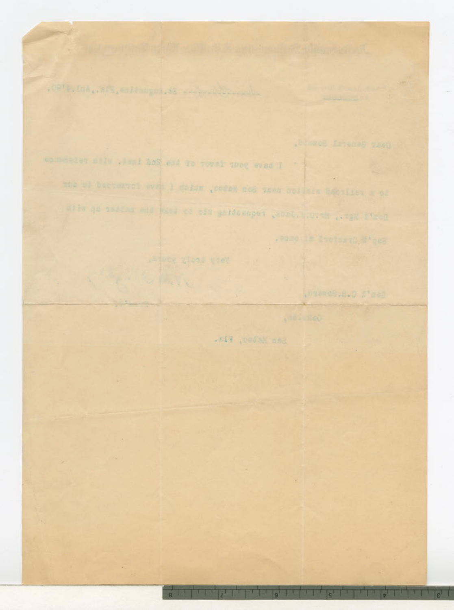